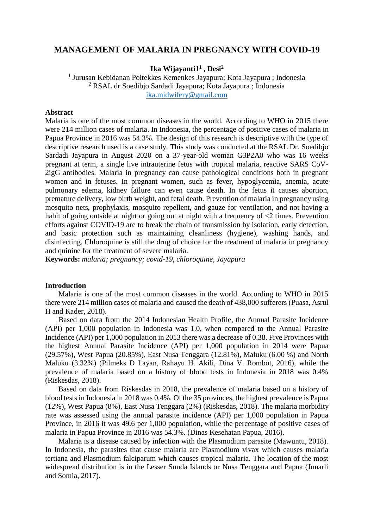# **MANAGEMENT OF MALARIA IN PREGNANCY WITH COVID-19**

**Ika Wijayanti1<sup>1</sup> , Desi<sup>2</sup>**

1 Jurusan Kebidanan Poltekkes Kemenkes Jayapura; Kota Jayapura ; Indonesia <sup>2</sup> RSAL dr Soedibjo Sardadi Jayapura; Kota Jayapura ; Indonesia [ika.midwifery@gmail.com](mailto:ika.midwifery@gmail.com)

#### **Abstract**

Malaria is one of the most common diseases in the world. According to WHO in 2015 there were 214 million cases of malaria. In Indonesia, the percentage of positive cases of malaria in Papua Province in 2016 was 54.3%. The design of this research is descriptive with the type of descriptive research used is a case study. This study was conducted at the RSAL Dr. Soedibjo Sardadi Jayapura in August 2020 on a 37-year-old woman G3P2A0 who was 16 weeks pregnant at term, a single live intrauterine fetus with tropical malaria, reactive SARS CoV-2igG antibodies. Malaria in pregnancy can cause pathological conditions both in pregnant women and in fetuses. In pregnant women, such as fever, hypoglycemia, anemia, acute pulmonary edema, kidney failure can even cause death. In the fetus it causes abortion, premature delivery, low birth weight, and fetal death. Prevention of malaria in pregnancy using mosquito nets, prophylaxis, mosquito repellent, and gauze for ventilation, and not having a habit of going outside at night or going out at night with a frequency of  $\leq 2$  times. Prevention efforts against COVID-19 are to break the chain of transmission by isolation, early detection, and basic protection such as maintaining cleanliness (hygiene), washing hands, and disinfecting. Chloroquine is still the drug of choice for the treatment of malaria in pregnancy and quinine for the treatment of severe malaria.

**Keywords:** *malaria; pregnancy; covid-19, chloroquine, Jayapura*

## **Introduction**

Malaria is one of the most common diseases in the world. According to WHO in 2015 there were 214 million cases of malaria and caused the death of 438,000 sufferers (Puasa, Asrul H and Kader, 2018).

Based on data from the 2014 Indonesian Health Profile, the Annual Parasite Incidence (API) per 1,000 population in Indonesia was 1.0, when compared to the Annual Parasite Incidence (API) per 1,000 population in 2013 there was a decrease of 0.38. Five Provinces with the highest Annual Parasite Incidence (API) per 1,000 population in 2014 were Papua (29.57%), West Papua (20.85%), East Nusa Tenggara (12.81%), Maluku (6.00 %) and North Maluku (3.32%) (Pilmeks D Layan, Rahayu H. Akili, Dina V. Rombot, 2016), while the prevalence of malaria based on a history of blood tests in Indonesia in 2018 was 0.4% (Riskesdas, 2018).

Based on data from Riskesdas in 2018, the prevalence of malaria based on a history of blood tests in Indonesia in 2018 was 0.4%. Of the 35 provinces, the highest prevalence is Papua (12%), West Papua (8%), East Nusa Tenggara (2%) (Riskesdas, 2018). The malaria morbidity rate was assessed using the annual parasite incidence (API) per 1,000 population in Papua Province, in 2016 it was 49.6 per 1,000 population, while the percentage of positive cases of malaria in Papua Province in 2016 was 54.3%. (Dinas Kesehatan Papua, 2016).

Malaria is a disease caused by infection with the Plasmodium parasite (Mawuntu, 2018). In Indonesia, the parasites that cause malaria are Plasmodium vivax which causes malaria tertiana and Plasmodium falciparum which causes tropical malaria. The location of the most widespread distribution is in the Lesser Sunda Islands or Nusa Tenggara and Papua (Junarli and Somia, 2017).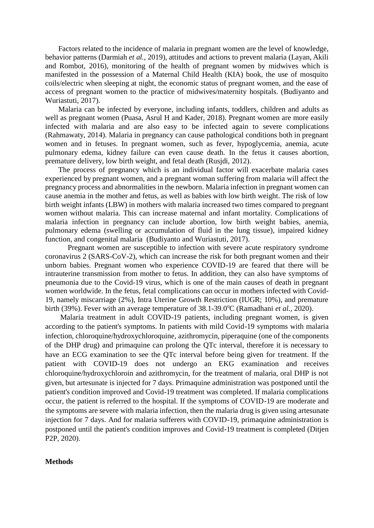Factors related to the incidence of malaria in pregnant women are the level of knowledge, behavior patterns (Darmiah *et al.*, 2019), attitudes and actions to prevent malaria (Layan, Akili and Rombot, 2016), monitoring of the health of pregnant women by midwives which is manifested in the possession of a Maternal Child Health (KIA) book, the use of mosquito coils/electric when sleeping at night, the economic status of pregnant women, and the ease of access of pregnant women to the practice of midwives/maternity hospitals. (Budiyanto and Wuriastuti, 2017).

Malaria can be infected by everyone, including infants, toddlers, children and adults as well as pregnant women (Puasa, Asrul H and Kader, 2018). Pregnant women are more easily infected with malaria and are also easy to be infected again to severe complications (Rahmawaty, 2014). Malaria in pregnancy can cause pathological conditions both in pregnant women and in fetuses. In pregnant women, such as fever, hypoglycemia, anemia, acute pulmonary edema, kidney failure can even cause death. In the fetus it causes abortion, premature delivery, low birth weight, and fetal death (Rusjdi, 2012).

The process of pregnancy which is an individual factor will exacerbate malaria cases experienced by pregnant women, and a pregnant woman suffering from malaria will affect the pregnancy process and abnormalities in the newborn. Malaria infection in pregnant women can cause anemia in the mother and fetus, as well as babies with low birth weight. The risk of low birth weight infants (LBW) in mothers with malaria increased two times compared to pregnant women without malaria. This can increase maternal and infant mortality. Complications of malaria infection in pregnancy can include abortion, low birth weight babies, anemia, pulmonary edema (swelling or accumulation of fluid in the lung tissue), impaired kidney function, and congenital malaria (Budiyanto and Wuriastuti, 2017).

Pregnant women are susceptible to infection with severe acute respiratory syndrome coronavirus 2 (SARS-CoV-2), which can increase the risk for both pregnant women and their unborn babies. Pregnant women who experience COVID-19 are feared that there will be intrauterine transmission from mother to fetus. In addition, they can also have symptoms of pneumonia due to the Covid-19 virus, which is one of the main causes of death in pregnant women worldwide. In the fetus, fetal complications can occur in mothers infected with Covid-19, namely miscarriage (2%), Intra Uterine Growth Restriction (IUGR; 10%), and premature birth (39%). Fever with an average temperature of 38.1-39.0°C (Ramadhani *et al.*, 2020).

Malaria treatment in adult COVID-19 patients, including pregnant women, is given according to the patient's symptoms. In patients with mild Covid-19 symptoms with malaria infection, chloroquine/hydroxychloroquine, azithromycin, piperaquine (one of the components of the DHP drug) and primaquine can prolong the QTc interval, therefore it is necessary to have an ECG examination to see the QTc interval before being given for treatment. If the patient with COVID-19 does not undergo an EKG examination and receives chloroquine/hydroxychloroin and azithromycin, for the treatment of malaria, oral DHP is not given, but artesunate is injected for 7 days. Primaquine administration was postponed until the patient's condition improved and Covid-19 treatment was completed. If malaria complications occur, the patient is referred to the hospital. If the symptoms of COVID-19 are moderate and the symptoms are severe with malaria infection, then the malaria drug is given using artesunate injection for 7 days. And for malaria sufferers with COVID-19, primaquine administration is postponed until the patient's condition improves and Covid-19 treatment is completed (Ditjen P2P, 2020).

#### **Methods**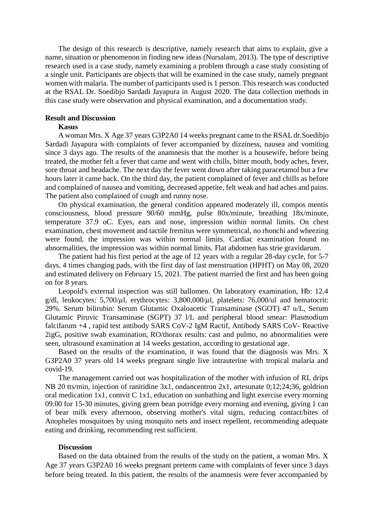The design of this research is descriptive, namely research that aims to explain, give a name, situation or phenomenon in finding new ideas (Nursalam, 2013). The type of descriptive research used is a case study, namely examining a problem through a case study consisting of a single unit. Participants are objects that will be examined in the case study, namely pregnant women with malaria. The number of participants used is 1 person. This research was conducted at the RSAL Dr. Soedibjo Sardadi Jayapura in August 2020. The data collection methods in this case study were observation and physical examination, and a documentation study.

#### **Result and Discussion**

# **Kasus**

A woman Mrs. X Age 37 years G3P2A0 14 weeks pregnant came to the RSAL dr.Soedibjo Sardadi Jayapura with complaints of fever accompanied by dizziness, nausea and vomiting since 3 days ago. The results of the anamnesis that the mother is a housewife, before being treated, the mother felt a fever that came and went with chills, bitter mouth, body aches, fever, sore throat and headache. The next day the fever went down after taking paracetamol but a few hours later it came back. On the third day, the patient complained of fever and chills as before and complained of nausea and vomiting, decreased appetite, felt weak and had aches and pains. The patient also complained of cough and runny nose.

On physical examination, the general condition appeared moderately ill, compos mentis consciousness, blood pressure 90/60 mmHg, pulse 80x/minute, breathing 18x/minute, temperature 37.9 oC. Eyes, ears and nose, impression within normal limits. On chest examination, chest movement and tactile fremitus were symmetrical, no rhonchi and wheezing were found, the impression was within normal limits. Cardiac examination found no abnormalities, the impression was within normal limits. Flat abdomen has strie gravidarum.

The patient had his first period at the age of 12 years with a regular 28-day cycle, for 5-7 days, 4 times changing pads, with the first day of last menstruation (HPHT) on May 08, 2020 and estimated delivery on February 15, 2021. The patient married the first and has been going on for 8 years.

Leopold's external inspection was still ballomen. On laboratory examination, Hb: 12.4 g/dl, leukocytes:  $5,700/\mu$ l, erythrocytes:  $3,800,000/\mu$ l, platelets:  $76,000/\mu$ l and hematocrit: 29%. Serum bilirubin: Serum Glutamic Oxaloacetic Transaminase (SGOT) 47 u/L, Serum Glutamic Piruvic Transaminase (SGPT) 37 l/L and peripheral blood smear: Plasmodium falcifarum +4 , rapid test antibody SARS CoV-2 IgM Ractif, Antibody SARS CoV- Reactive 2igG, positive swab examination, RO/thorax results: cast and pulmo, no abnormalities were seen, ultrasound examination at 14 weeks gestation, according to gestational age.

Based on the results of the examination, it was found that the diagnosis was Mrs. X G3P2A0 37 years old 14 weeks pregnant single live intrauterine with tropical malaria and covid-19.

The management carried out was hospitalization of the mother with infusion of RL drips NB 20 tts/min, injection of ranitidine 3x1, ondancentron 2x1, artesunate 0;12;24;36, goldrion oral medication 1x1, comvit C 1x1, education on sunbathing and light exercise every morning 09.00 for 15-30 minutes, giving green bean porridge every morning and evening, giving 1 can of bear milk every afternoon, observing mother's vital signs, reducing contact/bites of Anopheles mosquitoes by using mosquito nets and insect repellent, recommending adequate eating and drinking, recommending rest sufficient.

#### **Discussion**

Based on the data obtained from the results of the study on the patient, a woman Mrs. X Age 37 years G3P2A0 16 weeks pregnant preterm came with complaints of fever since 3 days before being treated. In this patient, the results of the anamnesis were fever accompanied by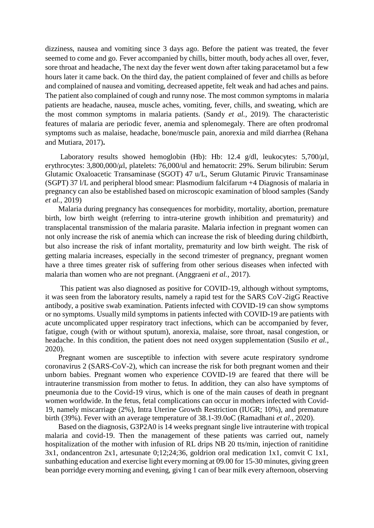dizziness, nausea and vomiting since 3 days ago. Before the patient was treated, the fever seemed to come and go. Fever accompanied by chills, bitter mouth, body aches all over, fever, sore throat and headache, The next day the fever went down after taking paracetamol but a few hours later it came back. On the third day, the patient complained of fever and chills as before and complained of nausea and vomiting, decreased appetite, felt weak and had aches and pains. The patient also complained of cough and runny nose. The most common symptoms in malaria patients are headache, nausea, muscle aches, vomiting, fever, chills, and sweating, which are the most common symptoms in malaria patients. (Sandy *et al.*, 2019). The characteristic features of malaria are periodic fever, anemia and splenomegaly. There are often prodromal symptoms such as malaise, headache, bone/muscle pain, anorexia and mild diarrhea (Rehana and Mutiara, 2017)**.**

Laboratory results showed hemoglobin (Hb): Hb: 12.4 g/dl, leukocytes:  $5,700/\mu$ l, erythrocytes: 3,800,000/ $\mu$ l, platelets: 76,000/ul and hematocrit: 29%. Serum bilirubin: Serum Glutamic Oxaloacetic Transaminase (SGOT) 47 u/L, Serum Glutamic Piruvic Transaminase (SGPT) 37 l/L and peripheral blood smear: Plasmodium falcifarum +4 Diagnosis of malaria in pregnancy can also be established based on microscopic examination of blood samples (Sandy *et al.*, 2019)

Malaria during pregnancy has consequences for morbidity, mortality, abortion, premature birth, low birth weight (referring to intra-uterine growth inhibition and prematurity) and transplacental transmission of the malaria parasite. Malaria infection in pregnant women can not only increase the risk of anemia which can increase the risk of bleeding during childbirth, but also increase the risk of infant mortality, prematurity and low birth weight. The risk of getting malaria increases, especially in the second trimester of pregnancy, pregnant women have a three times greater risk of suffering from other serious diseases when infected with malaria than women who are not pregnant. (Anggraeni *et al.*, 2017).

This patient was also diagnosed as positive for COVID-19, although without symptoms, it was seen from the laboratory results, namely a rapid test for the SARS CoV-2igG Reactive antibody, a positive swab examination. Patients infected with COVID-19 can show symptoms or no symptoms. Usually mild symptoms in patients infected with COVID-19 are patients with acute uncomplicated upper respiratory tract infections, which can be accompanied by fever, fatigue, cough (with or without sputum), anorexia, malaise, sore throat, nasal congestion, or headache. In this condition, the patient does not need oxygen supplementation (Susilo *et al.*, 2020).

Pregnant women are susceptible to infection with severe acute respiratory syndrome coronavirus 2 (SARS-CoV-2), which can increase the risk for both pregnant women and their unborn babies. Pregnant women who experience COVID-19 are feared that there will be intrauterine transmission from mother to fetus. In addition, they can also have symptoms of pneumonia due to the Covid-19 virus, which is one of the main causes of death in pregnant women worldwide. In the fetus, fetal complications can occur in mothers infected with Covid-19, namely miscarriage (2%), Intra Uterine Growth Restriction (IUGR; 10%), and premature birth (39%). Fever with an average temperature of 38.1-39.0oC (Ramadhani *et al.*, 2020).

Based on the diagnosis, G3P2A0 is 14 weeks pregnant single live intrauterine with tropical malaria and covid-19. Then the management of these patients was carried out, namely hospitalization of the mother with infusion of RL drips NB 20 tts/min, injection of ranitidine 3x1, ondancentron 2x1, artesunate 0;12;24;36, goldrion oral medication 1x1, comvit C 1x1, sunbathing education and exercise light everymorning at 09.00 for 15-30 minutes, giving green bean porridge every morning and evening, giving 1 can of bear milk every afternoon, observing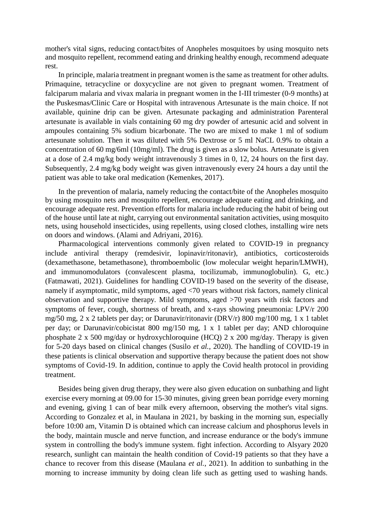mother's vital signs, reducing contact/bites of Anopheles mosquitoes by using mosquito nets and mosquito repellent, recommend eating and drinking healthy enough, recommend adequate rest.

In principle, malaria treatment in pregnant women is the same as treatment for other adults. Primaquine, tetracycline or doxycycline are not given to pregnant women. Treatment of falciparum malaria and vivax malaria in pregnant women in the I-III trimester (0-9 months) at the Puskesmas/Clinic Care or Hospital with intravenous Artesunate is the main choice. If not available, quinine drip can be given. Artesunate packaging and administration Parenteral artesunate is available in vials containing 60 mg dry powder of artesunic acid and solvent in ampoules containing 5% sodium bicarbonate. The two are mixed to make 1 ml of sodium artesunate solution. Then it was diluted with 5% Dextrose or 5 ml NaCL 0.9% to obtain a concentration of 60 mg/6ml (10mg/ml). The drug is given as a slow bolus. Artesunate is given at a dose of 2.4 mg/kg body weight intravenously 3 times in 0, 12, 24 hours on the first day. Subsequently, 2.4 mg/kg body weight was given intravenously every 24 hours a day until the patient was able to take oral medication (Kemenkes, 2017).

In the prevention of malaria, namely reducing the contact/bite of the Anopheles mosquito by using mosquito nets and mosquito repellent, encourage adequate eating and drinking, and encourage adequate rest. Prevention efforts for malaria include reducing the habit of being out of the house until late at night, carrying out environmental sanitation activities, using mosquito nets, using household insecticides, using repellents, using closed clothes, installing wire nets on doors and windows. (Alami and Adriyani, 2016).

Pharmacological interventions commonly given related to COVID-19 in pregnancy include antiviral therapy (remdesivir, lopinavir/ritonavir), antibiotics, corticosteroids (dexamethasone, betamethasone), thromboembolic (low molecular weight heparin/LMWH), and immunomodulators (convalescent plasma, tocilizumab, immunoglobulin). G, etc.) (Fatmawati, 2021). Guidelines for handling COVID-19 based on the severity of the disease, namely if asymptomatic, mild symptoms, aged <70 years without risk factors, namely clinical observation and supportive therapy. Mild symptoms, aged >70 years with risk factors and symptoms of fever, cough, shortness of breath, and x-rays showing pneumonia: LPV/r 200 mg/50 mg, 2 x 2 tablets per day; or Darunavir/ritonavir (DRV/r) 800 mg/100 mg, 1 x 1 tablet per day; or Darunavir/cobicistat 800 mg/150 mg, 1 x 1 tablet per day; AND chloroquine phosphate 2 x 500 mg/day or hydroxychloroquine (HCQ) 2 x 200 mg/day. Therapy is given for 5-20 days based on clinical changes (Susilo *et al.*, 2020). The handling of COVID-19 in these patients is clinical observation and supportive therapy because the patient does not show symptoms of Covid-19. In addition, continue to apply the Covid health protocol in providing treatment.

Besides being given drug therapy, they were also given education on sunbathing and light exercise every morning at 09.00 for 15-30 minutes, giving green bean porridge every morning and evening, giving 1 can of bear milk every afternoon, observing the mother's vital signs. According to Gonzalez et al, in Maulana in 2021, by basking in the morning sun, especially before 10:00 am, Vitamin D is obtained which can increase calcium and phosphorus levels in the body, maintain muscle and nerve function, and increase endurance or the body's immune system in controlling the body's immune system. fight infection. According to Alsyary 2020 research, sunlight can maintain the health condition of Covid-19 patients so that they have a chance to recover from this disease (Maulana *et al.*, 2021). In addition to sunbathing in the morning to increase immunity by doing clean life such as getting used to washing hands.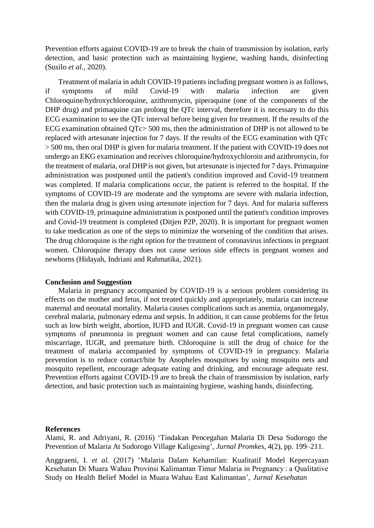Prevention efforts against COVID-19 are to break the chain of transmission by isolation, early detection, and basic protection such as maintaining hygiene, washing hands, disinfecting (Susilo *et al.*, 2020).

Treatment of malaria in adult COVID-19 patients including pregnant women is as follows, if symptoms of mild Covid-19 with malaria infection are given Chloroquine/hydroxychloroquine, azithromycin, piperaquine (one of the components of the DHP drug) and primaquine can prolong the QTc interval, therefore it is necessary to do this ECG examination to see the QTc interval before being given for treatment. If the results of the ECG examination obtained QTc> 500 ms, then the administration of DHP is not allowed to be replaced with artesunate injection for 7 days. If the results of the ECG examination with QTc > 500 ms, then oral DHP is given for malaria treatment. If the patient with COVID-19 does not undergo an EKG examination and receives chloroquine/hydroxychloroin and azithromycin, for the treatment of malaria, oral DHP is not given, but artesunate is injected for 7 days. Primaquine administration was postponed until the patient's condition improved and Covid-19 treatment was completed. If malaria complications occur, the patient is referred to the hospital. If the symptoms of COVID-19 are moderate and the symptoms are severe with malaria infection, then the malaria drug is given using artesunate injection for 7 days. And for malaria sufferers with COVID-19, primaquine administration is postponed until the patient's condition improves and Covid-19 treatment is completed (Ditjen P2P, 2020). It is important for pregnant women to take medication as one of the steps to minimize the worsening of the condition that arises. The drug chloroquine is the right option for the treatment of coronavirus infections in pregnant women. Chloroquine therapy does not cause serious side effects in pregnant women and newborns (Hidayah, Indriani and Rahmatika, 2021).

## **Conclusion and Suggestion**

Malaria in pregnancy accompanied by COVID-19 is a serious problem considering its effects on the mother and fetus, if not treated quickly and appropriately, malaria can increase maternal and neonatal mortality. Malaria causes complications such as anemia, organomegaly, cerebral malaria, pulmonary edema and sepsis. In addition, it can cause problems for the fetus such as low birth weight, abortion, IUFD and IUGR. Covid-19 in pregnant women can cause symptoms of pneumonia in pregnant women and can cause fetal complications, namely miscarriage, IUGR, and premature birth. Chloroquine is still the drug of choice for the treatment of malaria accompanied by symptoms of COVID-19 in pregnancy. Malaria prevention is to reduce contact/bite by Anopheles mosquitoes by using mosquito nets and mosquito repellent, encourage adequate eating and drinking, and encourage adequate rest. Prevention efforts against COVID-19 are to break the chain of transmission by isolation, early detection, and basic protection such as maintaining hygiene, washing hands, disinfecting.

### **References**

Alami, R. and Adriyani, R. (2016) 'Tindakan Pencegahan Malaria Di Desa Sudorogo the Prevention of Malaria At Sudorogo Village Kaligesing', *Jurnal Promkes*, 4(2), pp. 199–211.

Anggraeni, I. *et al.* (2017) 'Malaria Dalam Kehamilan: Kualitatif Model Kepercayaan Kesehatan Di Muara Wahau Provinsi Kalimantan Timur Malaria in Pregnancy : a Qualitative Study on Health Belief Model in Muara Wahau East Kalimantan', *Jurnal Kesehatan*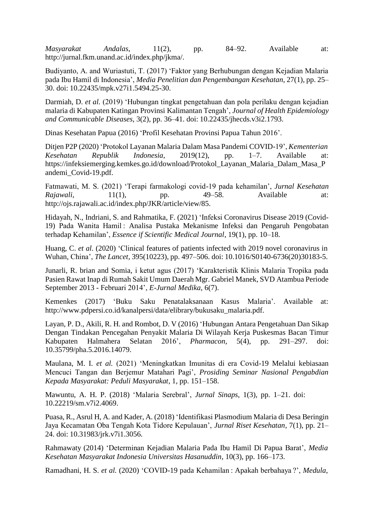*Masyarakat Andalas*, 11(2), pp. 84–92. Available at: [http://jurnal.fkm.unand.ac.id/index.php/jkma/.](http://jurnal.fkm.unand.ac.id/index.php/jkma/)

Budiyanto, A. and Wuriastuti, T. (2017) 'Faktor yang Berhubungan dengan Kejadian Malaria pada Ibu Hamil di Indonesia', *Media Penelitian dan Pengembangan Kesehatan*, 27(1), pp. 25– 30. doi: 10.22435/mpk.v27i1.5494.25-30.

Darmiah, D. *et al.* (2019) 'Hubungan tingkat pengetahuan dan pola perilaku dengan kejadian malaria di Kabupaten Katingan Provinsi Kalimantan Tengah', *Journal of Health Epidemiology and Communicable Diseases*, 3(2), pp. 36–41. doi: 10.22435/jhecds.v3i2.1793.

Dinas Kesehatan Papua (2016) 'Profil Kesehatan Provinsi Papua Tahun 2016'.

Ditjen P2P (2020) 'Protokol Layanan Malaria Dalam Masa Pandemi COVID-19', *Kementerian Kesehatan Republik Indonesia*, 2019(12), pp. 1–7. Available at: https://infeksiemerging.kemkes.go.id/download/Protokol\_Layanan\_Malaria\_Dalam\_Masa\_P andemi\_Covid-19.pdf.

Fatmawati, M. S. (2021) 'Terapi farmakologi covid-19 pada kehamilan', *Jurnal Kesehatan Rajawali*, 11(1), pp. 49–58. Available at: [http://ojs.rajawali.ac.id/index.php/JKR/article/view/85.](http://ojs.rajawali.ac.id/index.php/JKR/article/view/85)

Hidayah, N., Indriani, S. and Rahmatika, F. (2021) 'Infeksi Coronavirus Disease 2019 (Covid-19) Pada Wanita Hamil : Analisa Pustaka Mekanisme Infeksi dan Pengaruh Pengobatan terhadap Kehamilan', *Essence if Scientific Medical Journal*, 19(1), pp. 10–18.

Huang, C. *et al.* (2020) 'Clinical features of patients infected with 2019 novel coronavirus in Wuhan, China', *The Lancet*, 395(10223), pp. 497–506. doi: 10.1016/S0140-6736(20)30183-5.

Junarli, R. brian and Somia, i ketut agus (2017) 'Karakteristik Klinis Malaria Tropika pada Pasien Rawat Inap di Rumah Sakit Umum Daerah Mgr. Gabriel Manek, SVD Atambua Periode September 2013 - Februari 2014', *E-Jurnal Medika*, 6(7).

Kemenkes (2017) 'Buku Saku Penatalaksanaan Kasus Malaria'. Available at: [http://www.pdpersi.co.id/kanalpersi/data/elibrary/bukusaku\\_malaria.pdf.](http://www.pdpersi.co.id/kanalpersi/data/elibrary/bukusaku_malaria.pdf)

Layan, P. D., Akili, R. H. and Rombot, D. V (2016) 'Hubungan Antara Pengetahuan Dan Sikap Dengan Tindakan Pencegahan Penyakit Malaria Di Wilayah Kerja Puskesmas Bacan Timur Kabupaten Halmahera Selatan 2016', *Pharmacon*, 5(4), pp. 291–297. doi: 10.35799/pha.5.2016.14079.

Maulana, M. I. *et al.* (2021) 'Meningkatkan Imunitas di era Covid-19 Melalui kebiasaan Mencuci Tangan dan Berjemur Matahari Pagi', *Prosiding Seminar Nasional Pengabdian Kepada Masyarakat: Peduli Masyarakat*, 1, pp. 151–158.

Mawuntu, A. H. P. (2018) 'Malaria Serebral', *Jurnal Sinaps*, 1(3), pp. 1–21. doi: 10.22219/sm.v7i2.4069.

Puasa, R., Asrul H, A. and Kader, A. (2018) 'Identifikasi Plasmodium Malaria di Desa Beringin Jaya Kecamatan Oba Tengah Kota Tidore Kepulauan', *Jurnal Riset Kesehatan*, 7(1), pp. 21– 24. doi: 10.31983/jrk.v7i1.3056.

Rahmawaty (2014) 'Determinan Kejadian Malaria Pada Ibu Hamil Di Papua Barat', *Media Kesehatan Masyarakat Indonesia Universitas Hasanuddin*, 10(3), pp. 166–173.

Ramadhani, H. S. *et al.* (2020) 'COVID-19 pada Kehamilan : Apakah berbahaya ?', *Medula*,